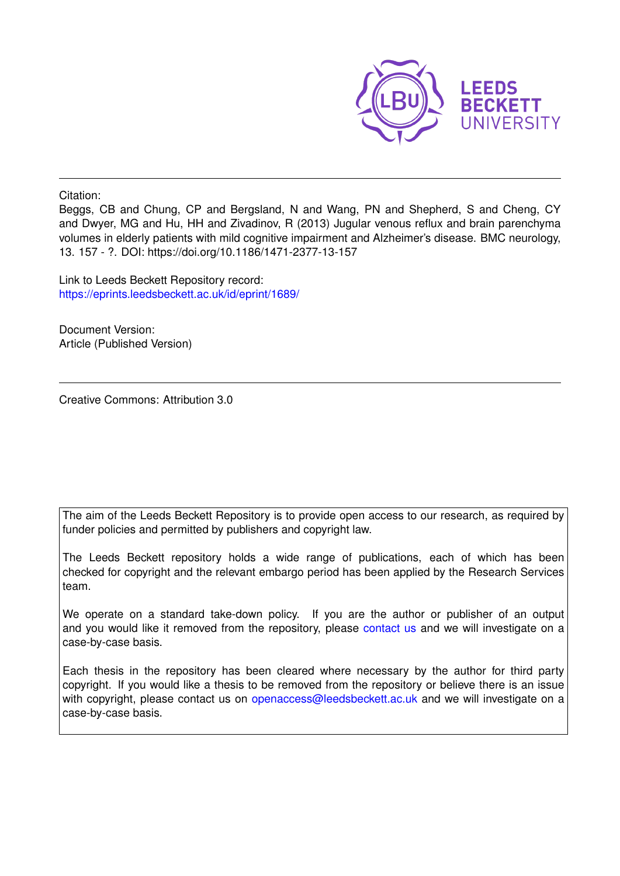

Citation:

Beggs, CB and Chung, CP and Bergsland, N and Wang, PN and Shepherd, S and Cheng, CY and Dwyer, MG and Hu, HH and Zivadinov, R (2013) Jugular venous reflux and brain parenchyma volumes in elderly patients with mild cognitive impairment and Alzheimer's disease. BMC neurology, 13. 157 - ?. DOI: https://doi.org/10.1186/1471-2377-13-157

Link to Leeds Beckett Repository record: <https://eprints.leedsbeckett.ac.uk/id/eprint/1689/>

Document Version: Article (Published Version)

Creative Commons: Attribution 3.0

The aim of the Leeds Beckett Repository is to provide open access to our research, as required by funder policies and permitted by publishers and copyright law.

The Leeds Beckett repository holds a wide range of publications, each of which has been checked for copyright and the relevant embargo period has been applied by the Research Services team.

We operate on a standard take-down policy. If you are the author or publisher of an output and you would like it removed from the repository, please [contact us](mailto:openaccess@leedsbeckett.ac.uk) and we will investigate on a case-by-case basis.

Each thesis in the repository has been cleared where necessary by the author for third party copyright. If you would like a thesis to be removed from the repository or believe there is an issue with copyright, please contact us on [openaccess@leedsbeckett.ac.uk](mailto:openaccess@leedsbeckett.ac.uk) and we will investigate on a case-by-case basis.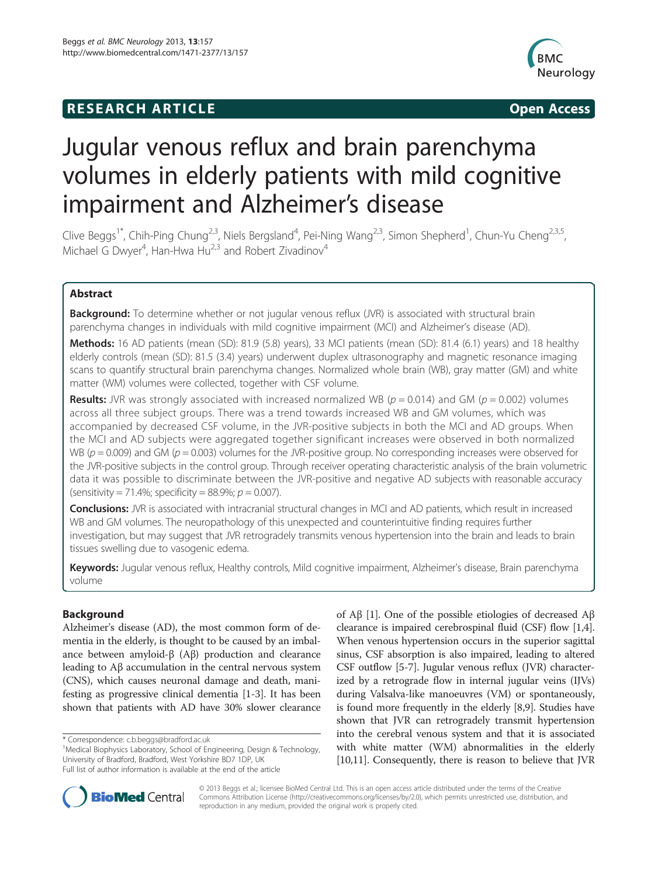# **RESEARCH ARTICLE Example 2014 12:30 The SEAR CHA RESEARCH ARTICLE**



# Jugular venous reflux and brain parenchyma volumes in elderly patients with mild cognitive impairment and Alzheimer's disease

Clive Beggs<sup>1\*</sup>, Chih-Ping Chung<sup>2,3</sup>, Niels Bergsland<sup>4</sup>, Pei-Ning Wang<sup>2,3</sup>, Simon Shepherd<sup>1</sup>, Chun-Yu Cheng<sup>2,3,5</sup>, Michael G Dwyer<sup>4</sup>, Han-Hwa Hu<sup>2,3</sup> and Robert Zivadinov<sup>4</sup>

# Abstract

**Background:** To determine whether or not jugular venous reflux (JVR) is associated with structural brain parenchyma changes in individuals with mild cognitive impairment (MCI) and Alzheimer's disease (AD).

Methods: 16 AD patients (mean (SD): 81.9 (5.8) years), 33 MCI patients (mean (SD): 81.4 (6.1) years) and 18 healthy elderly controls (mean (SD): 81.5 (3.4) years) underwent duplex ultrasonography and magnetic resonance imaging scans to quantify structural brain parenchyma changes. Normalized whole brain (WB), gray matter (GM) and white matter (WM) volumes were collected, together with CSF volume.

**Results:** JVR was strongly associated with increased normalized WB ( $p = 0.014$ ) and GM ( $p = 0.002$ ) volumes across all three subject groups. There was a trend towards increased WB and GM volumes, which was accompanied by decreased CSF volume, in the JVR-positive subjects in both the MCI and AD groups. When the MCI and AD subjects were aggregated together significant increases were observed in both normalized WB ( $p = 0.009$ ) and GM ( $p = 0.003$ ) volumes for the JVR-positive group. No corresponding increases were observed for the JVR-positive subjects in the control group. Through receiver operating characteristic analysis of the brain volumetric data it was possible to discriminate between the JVR-positive and negative AD subjects with reasonable accuracy (sensitivity = 71.4%; specificity = 88.9%;  $p = 0.007$ ).

**Conclusions:** JVR is associated with intracranial structural changes in MCI and AD patients, which result in increased WB and GM volumes. The neuropathology of this unexpected and counterintuitive finding requires further investigation, but may suggest that JVR retrogradely transmits venous hypertension into the brain and leads to brain tissues swelling due to vasogenic edema.

Keywords: Jugular venous reflux, Healthy controls, Mild cognitive impairment, Alzheimer's disease, Brain parenchyma volume

# Background

Alzheimer's disease (AD), the most common form of dementia in the elderly, is thought to be caused by an imbalance between amyloid-β (Aβ) production and clearance leading to Aβ accumulation in the central nervous system (CNS), which causes neuronal damage and death, manifesting as progressive clinical dementia [[1-3\]](#page-7-0). It has been shown that patients with AD have 30% slower clearance

of Aβ [[1](#page-7-0)]. One of the possible etiologies of decreased Aβ clearance is impaired cerebrospinal fluid (CSF) flow [[1](#page-7-0),[4](#page-7-0)]. When venous hypertension occurs in the superior sagittal sinus, CSF absorption is also impaired, leading to altered CSF outflow [\[5](#page-7-0)-[7](#page-7-0)]. Jugular venous reflux (JVR) characterized by a retrograde flow in internal jugular veins (IJVs) during Valsalva-like manoeuvres (VM) or spontaneously, is found more frequently in the elderly [\[8,9](#page-7-0)]. Studies have shown that JVR can retrogradely transmit hypertension into the cerebral venous system and that it is associated with white matter (WM) abnormalities in the elderly [[10](#page-7-0),[11](#page-7-0)]. Consequently, there is reason to believe that JVR



© 2013 Beggs et al.; licensee BioMed Central Ltd. This is an open access article distributed under the terms of the Creative Commons Attribution License [\(http://creativecommons.org/licenses/by/2.0\)](http://creativecommons.org/licenses/by/2.0), which permits unrestricted use, distribution, and reproduction in any medium, provided the original work is properly cited.

<sup>\*</sup> Correspondence: [c.b.beggs@bradford.ac.uk](mailto:c.b.beggs@bradford.ac.uk) <sup>1</sup>

<sup>&</sup>lt;sup>1</sup>Medical Biophysics Laboratory, School of Engineering, Design & Technology, University of Bradford, Bradford, West Yorkshire BD7 1DP, UK Full list of author information is available at the end of the article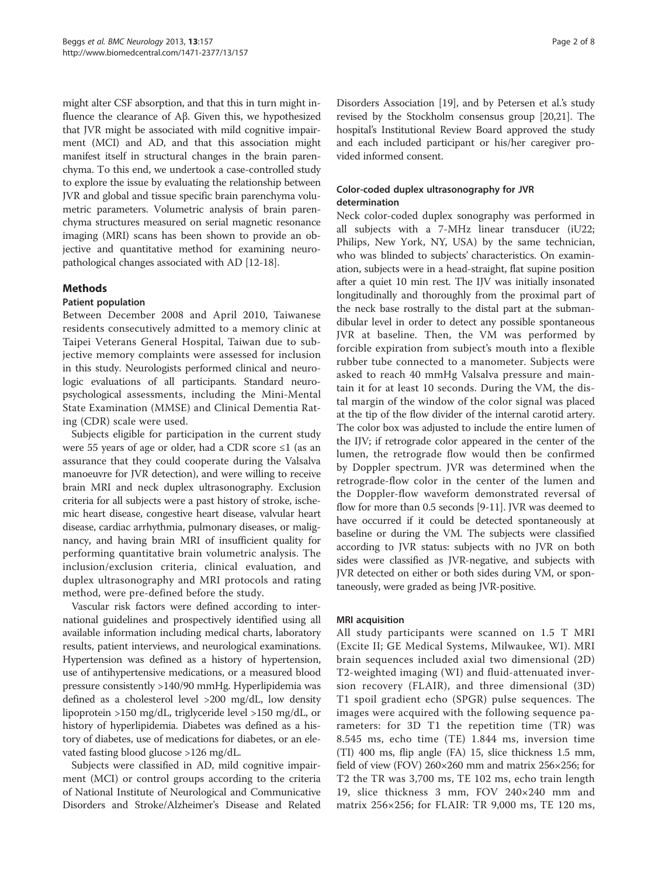might alter CSF absorption, and that this in turn might influence the clearance of Aβ. Given this, we hypothesized that JVR might be associated with mild cognitive impairment (MCI) and AD, and that this association might manifest itself in structural changes in the brain parenchyma. To this end, we undertook a case-controlled study to explore the issue by evaluating the relationship between JVR and global and tissue specific brain parenchyma volumetric parameters. Volumetric analysis of brain parenchyma structures measured on serial magnetic resonance imaging (MRI) scans has been shown to provide an objective and quantitative method for examining neuropathological changes associated with AD [\[12-](#page-7-0)[18\]](#page-8-0).

# Methods

# Patient population

Between December 2008 and April 2010, Taiwanese residents consecutively admitted to a memory clinic at Taipei Veterans General Hospital, Taiwan due to subjective memory complaints were assessed for inclusion in this study. Neurologists performed clinical and neurologic evaluations of all participants. Standard neuropsychological assessments, including the Mini-Mental State Examination (MMSE) and Clinical Dementia Rating (CDR) scale were used.

Subjects eligible for participation in the current study were 55 years of age or older, had a CDR score ≤1 (as an assurance that they could cooperate during the Valsalva manoeuvre for JVR detection), and were willing to receive brain MRI and neck duplex ultrasonography. Exclusion criteria for all subjects were a past history of stroke, ischemic heart disease, congestive heart disease, valvular heart disease, cardiac arrhythmia, pulmonary diseases, or malignancy, and having brain MRI of insufficient quality for performing quantitative brain volumetric analysis. The inclusion/exclusion criteria, clinical evaluation, and duplex ultrasonography and MRI protocols and rating method, were pre-defined before the study.

Vascular risk factors were defined according to international guidelines and prospectively identified using all available information including medical charts, laboratory results, patient interviews, and neurological examinations. Hypertension was defined as a history of hypertension, use of antihypertensive medications, or a measured blood pressure consistently >140/90 mmHg. Hyperlipidemia was defined as a cholesterol level >200 mg/dL, low density lipoprotein >150 mg/dL, triglyceride level >150 mg/dL, or history of hyperlipidemia. Diabetes was defined as a history of diabetes, use of medications for diabetes, or an elevated fasting blood glucose >126 mg/dL.

Subjects were classified in AD, mild cognitive impairment (MCI) or control groups according to the criteria of National Institute of Neurological and Communicative Disorders and Stroke/Alzheimer's Disease and Related Disorders Association [\[19\]](#page-8-0), and by Petersen et al.'s study revised by the Stockholm consensus group [[20,21](#page-8-0)]. The hospital's Institutional Review Board approved the study and each included participant or his/her caregiver provided informed consent.

# Color-coded duplex ultrasonography for JVR determination

Neck color-coded duplex sonography was performed in all subjects with a 7-MHz linear transducer (iU22; Philips, New York, NY, USA) by the same technician, who was blinded to subjects' characteristics. On examination, subjects were in a head-straight, flat supine position after a quiet 10 min rest. The IJV was initially insonated longitudinally and thoroughly from the proximal part of the neck base rostrally to the distal part at the submandibular level in order to detect any possible spontaneous JVR at baseline. Then, the VM was performed by forcible expiration from subject's mouth into a flexible rubber tube connected to a manometer. Subjects were asked to reach 40 mmHg Valsalva pressure and maintain it for at least 10 seconds. During the VM, the distal margin of the window of the color signal was placed at the tip of the flow divider of the internal carotid artery. The color box was adjusted to include the entire lumen of the IJV; if retrograde color appeared in the center of the lumen, the retrograde flow would then be confirmed by Doppler spectrum. JVR was determined when the retrograde-flow color in the center of the lumen and the Doppler-flow waveform demonstrated reversal of flow for more than 0.5 seconds [[9-11\]](#page-7-0). JVR was deemed to have occurred if it could be detected spontaneously at baseline or during the VM. The subjects were classified according to JVR status: subjects with no JVR on both sides were classified as JVR-negative, and subjects with JVR detected on either or both sides during VM, or spontaneously, were graded as being JVR-positive.

# MRI acquisition

All study participants were scanned on 1.5 T MRI (Excite II; GE Medical Systems, Milwaukee, WI). MRI brain sequences included axial two dimensional (2D) T2-weighted imaging (WI) and fluid-attenuated inversion recovery (FLAIR), and three dimensional (3D) T1 spoil gradient echo (SPGR) pulse sequences. The images were acquired with the following sequence parameters: for 3D T1 the repetition time (TR) was 8.545 ms, echo time (TE) 1.844 ms, inversion time (TI) 400 ms, flip angle (FA) 15, slice thickness 1.5 mm, field of view (FOV) 260×260 mm and matrix 256×256; for T2 the TR was 3,700 ms, TE 102 ms, echo train length 19, slice thickness 3 mm, FOV 240×240 mm and matrix 256×256; for FLAIR: TR 9,000 ms, TE 120 ms,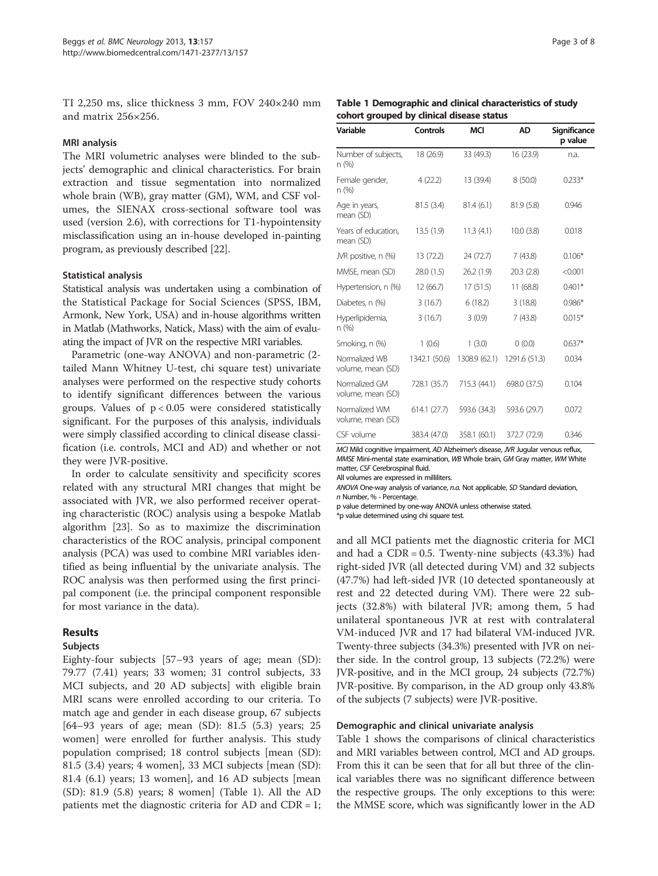TI 2,250 ms, slice thickness 3 mm, FOV 240×240 mm and matrix 256×256.

#### MRI analysis

The MRI volumetric analyses were blinded to the subjects' demographic and clinical characteristics. For brain extraction and tissue segmentation into normalized whole brain (WB), gray matter (GM), WM, and CSF volumes, the SIENAX cross-sectional software tool was used (version 2.6), with corrections for T1-hypointensity misclassification using an in-house developed in-painting program, as previously described [[22](#page-8-0)].

#### Statistical analysis

Statistical analysis was undertaken using a combination of the Statistical Package for Social Sciences (SPSS, IBM, Armonk, New York, USA) and in-house algorithms written in Matlab (Mathworks, Natick, Mass) with the aim of evaluating the impact of JVR on the respective MRI variables.

Parametric (one-way ANOVA) and non-parametric (2 tailed Mann Whitney U-test, chi square test) univariate analyses were performed on the respective study cohorts to identify significant differences between the various groups. Values of  $p < 0.05$  were considered statistically significant. For the purposes of this analysis, individuals were simply classified according to clinical disease classification (i.e. controls, MCI and AD) and whether or not they were JVR-positive.

In order to calculate sensitivity and specificity scores related with any structural MRI changes that might be associated with JVR, we also performed receiver operating characteristic (ROC) analysis using a bespoke Matlab algorithm [[23\]](#page-8-0). So as to maximize the discrimination characteristics of the ROC analysis, principal component analysis (PCA) was used to combine MRI variables identified as being influential by the univariate analysis. The ROC analysis was then performed using the first principal component (i.e. the principal component responsible for most variance in the data).

### Results

## Subjects

Eighty-four subjects [57–93 years of age; mean (SD): 79.77 (7.41) years; 33 women; 31 control subjects, 33 MCI subjects, and 20 AD subjects] with eligible brain MRI scans were enrolled according to our criteria. To match age and gender in each disease group, 67 subjects [64–93 years of age; mean (SD): 81.5 (5.3) years; 25 women] were enrolled for further analysis. This study population comprised; 18 control subjects [mean (SD): 81.5 (3.4) years; 4 women], 33 MCI subjects [mean (SD): 81.4 (6.1) years; 13 women], and 16 AD subjects [mean (SD): 81.9 (5.8) years; 8 women] (Table 1). All the AD patients met the diagnostic criteria for AD and CDR = 1;

|                                           | Table 1 Demographic and clinical characteristics of study |  |
|-------------------------------------------|-----------------------------------------------------------|--|
| cohort grouped by clinical disease status |                                                           |  |

| Variable                           | <b>Controls</b> | <b>MCI</b>    | <b>AD</b>     | Significance<br>p value |
|------------------------------------|-----------------|---------------|---------------|-------------------------|
| Number of subjects,<br>n (%)       | 18 (26.9)       | 33 (49.3)     | 16 (23.9)     | n.a.                    |
| Female gender,<br>n (%)            | 4(22.2)         | 13 (39.4)     | 8(50.0)       | $0.233*$                |
| Age in years,<br>mean (SD)         | 81.5(3.4)       | 81.4 (6.1)    | 81.9(5.8)     | 0.946                   |
| Years of education,<br>mean (SD)   | 13.5(1.9)       | 11.3(4.1)     | 10.0(3.8)     | 0.018                   |
| JVR positive, n (%)                | 13 (72.2)       | 24 (72.7)     | 7(43.8)       | $0.106*$                |
| MMSE, mean (SD)                    | 28.0 (1.5)      | 26.2 (1.9)    | 20.3(2.8)     | < 0.001                 |
| Hypertension, n (%)                | 12 (66.7)       | 17(51.5)      | 11 (68.8)     | $0.401*$                |
| Diabetes, n (%)                    | 3(16.7)         | 6(18.2)       | 3(18.8)       | $0.986*$                |
| Hyperlipidemia,<br>n (%)           | 3(16.7)         | 3(0.9)        | 7(43.8)       | $0.015*$                |
| Smoking, n (%)                     | 1(0.6)          | 1(3.0)        | 0(0.0)        | $0.637*$                |
| Normalized WB<br>volume, mean (SD) | 1342.1 (50.6)   | 1308.9 (62.1) | 1291.6 (51.3) | 0.034                   |
| Normalized GM<br>volume, mean (SD) | 728.1 (35.7)    | 715.3 (44.1)  | 698.0 (37.5)  | 0.104                   |
| Normalized WM<br>volume, mean (SD) | 614.1(27.7)     | 593.6 (34.3)  | 593.6 (29.7)  | 0.072                   |
| CSF volume                         | 383.4 (47.0)    | 358.1 (60.1)  | 372.7 (72.9)  | 0.346                   |

MCI Mild cognitive impairment, AD Alzheimer's disease, JVR Jugular venous reflux, MMSE Mini-mental state examination, WB Whole brain, GM Gray matter, WM White matter, CSF Cerebrospinal fluid.

All volumes are expressed in milliliters.

ANOVA One-way analysis of variance, n.a. Not applicable, SD Standard deviation, n Number, % - Percentage.

p value determined by one-way ANOVA unless otherwise stated.

\*p value determined using chi square test.

and all MCI patients met the diagnostic criteria for MCI and had a  $CDR = 0.5$ . Twenty-nine subjects  $(43.3%)$  had right-sided JVR (all detected during VM) and 32 subjects (47.7%) had left-sided JVR (10 detected spontaneously at rest and 22 detected during VM). There were 22 subjects (32.8%) with bilateral JVR; among them, 5 had unilateral spontaneous JVR at rest with contralateral VM-induced JVR and 17 had bilateral VM-induced JVR. Twenty-three subjects (34.3%) presented with JVR on neither side. In the control group, 13 subjects (72.2%) were JVR-positive, and in the MCI group, 24 subjects (72.7%) JVR-positive. By comparison, in the AD group only 43.8% of the subjects (7 subjects) were JVR-positive.

#### Demographic and clinical univariate analysis

Table 1 shows the comparisons of clinical characteristics and MRI variables between control, MCI and AD groups. From this it can be seen that for all but three of the clinical variables there was no significant difference between the respective groups. The only exceptions to this were: the MMSE score, which was significantly lower in the AD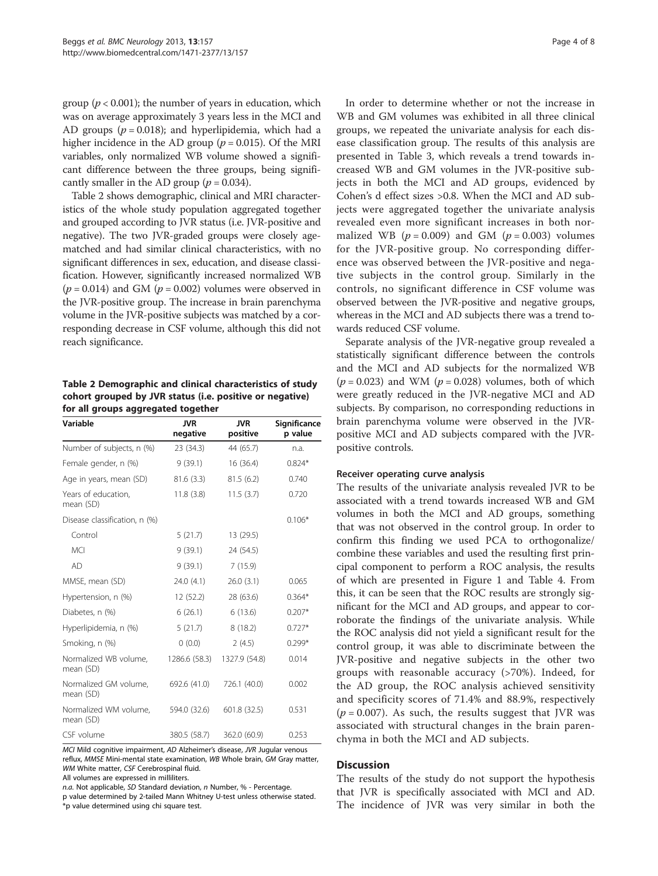<span id="page-4-0"></span>group ( $p < 0.001$ ); the number of years in education, which was on average approximately 3 years less in the MCI and AD groups ( $p = 0.018$ ); and hyperlipidemia, which had a higher incidence in the AD group ( $p = 0.015$ ). Of the MRI variables, only normalized WB volume showed a significant difference between the three groups, being significantly smaller in the AD group ( $p = 0.034$ ).

Table 2 shows demographic, clinical and MRI characteristics of the whole study population aggregated together and grouped according to JVR status (i.e. JVR-positive and negative). The two JVR-graded groups were closely agematched and had similar clinical characteristics, with no significant differences in sex, education, and disease classification. However, significantly increased normalized WB  $(p = 0.014)$  and GM  $(p = 0.002)$  volumes were observed in the JVR-positive group. The increase in brain parenchyma volume in the JVR-positive subjects was matched by a corresponding decrease in CSF volume, although this did not reach significance.

Table 2 Demographic and clinical characteristics of study cohort grouped by JVR status (i.e. positive or negative) for all groups aggregated together

| Variable                           | <b>JVR</b><br>negative | <b>JVR</b><br>positive | Significance<br>p value |
|------------------------------------|------------------------|------------------------|-------------------------|
| Number of subjects, n (%)          | 23 (34.3)              | 44 (65.7)              | n.a.                    |
| Female gender, n (%)               | 9(39.1)                | 16(36.4)               | $0.824*$                |
| Age in years, mean (SD)            | 81.6(3.3)              | 81.5(6.2)              | 0.740                   |
| Years of education,<br>mean (SD)   | 11.8(3.8)              | 11.5(3.7)              | 0.720                   |
| Disease classification, n (%)      |                        |                        | $0.106*$                |
| Control                            | 5(21.7)                | 13 (29.5)              |                         |
| <b>MCI</b>                         | 9(39.1)                | 24 (54.5)              |                         |
| <b>AD</b>                          | 9(39.1)                | 7(15.9)                |                         |
| MMSE, mean (SD)                    | 24.0 (4.1)             | 26.0(3.1)              | 0.065                   |
| Hypertension, n (%)                | 12(52.2)               | 28 (63.6)              | $0.364*$                |
| Diabetes, n (%)                    | 6(26.1)                | 6(13.6)                | $0.207*$                |
| Hyperlipidemia, n (%)              | 5(21.7)                | 8(18.2)                | $0.727*$                |
| Smoking, n (%)                     | (0.0)                  | 2(4.5)                 | $0.299*$                |
| Normalized WB volume,<br>mean (SD) | 1286.6 (58.3)          | 1327.9 (54.8)          | 0.014                   |
| Normalized GM volume,<br>mean (SD) | 692.6 (41.0)           | 726.1 (40.0)           | 0.002                   |
| Normalized WM volume,<br>mean (SD) | 594.0 (32.6)           | 601.8 (32.5)           | 0.531                   |
| CSF volume                         | 380.5 (58.7)           | 362.0 (60.9)           | 0.253                   |

MCI Mild cognitive impairment, AD Alzheimer's disease, JVR Jugular venous reflux, MMSE Mini-mental state examination, WB Whole brain, GM Gray matter, WM White matter, CSF Cerebrospinal fluid.

All volumes are expressed in milliliters.

n.a. Not applicable, SD Standard deviation, n Number, % - Percentage. p value determined by 2-tailed Mann Whitney U-test unless otherwise stated.

\*p value determined using chi square test.

In order to determine whether or not the increase in WB and GM volumes was exhibited in all three clinical groups, we repeated the univariate analysis for each disease classification group. The results of this analysis are presented in Table [3,](#page-5-0) which reveals a trend towards increased WB and GM volumes in the JVR-positive subjects in both the MCI and AD groups, evidenced by Cohen's d effect sizes >0.8. When the MCI and AD subjects were aggregated together the univariate analysis revealed even more significant increases in both normalized WB ( $p = 0.009$ ) and GM ( $p = 0.003$ ) volumes for the JVR-positive group. No corresponding difference was observed between the JVR-positive and negative subjects in the control group. Similarly in the controls, no significant difference in CSF volume was observed between the JVR-positive and negative groups, whereas in the MCI and AD subjects there was a trend towards reduced CSF volume.

Separate analysis of the JVR-negative group revealed a statistically significant difference between the controls and the MCI and AD subjects for the normalized WB  $(p = 0.023)$  and WM  $(p = 0.028)$  volumes, both of which were greatly reduced in the JVR-negative MCI and AD subjects. By comparison, no corresponding reductions in brain parenchyma volume were observed in the JVRpositive MCI and AD subjects compared with the JVRpositive controls.

### Receiver operating curve analysis

The results of the univariate analysis revealed JVR to be associated with a trend towards increased WB and GM volumes in both the MCI and AD groups, something that was not observed in the control group. In order to confirm this finding we used PCA to orthogonalize/ combine these variables and used the resulting first principal component to perform a ROC analysis, the results of which are presented in Figure [1](#page-5-0) and Table [4.](#page-6-0) From this, it can be seen that the ROC results are strongly significant for the MCI and AD groups, and appear to corroborate the findings of the univariate analysis. While the ROC analysis did not yield a significant result for the control group, it was able to discriminate between the JVR-positive and negative subjects in the other two groups with reasonable accuracy (>70%). Indeed, for the AD group, the ROC analysis achieved sensitivity and specificity scores of 71.4% and 88.9%, respectively  $(p = 0.007)$ . As such, the results suggest that JVR was associated with structural changes in the brain parenchyma in both the MCI and AD subjects.

# **Discussion**

The results of the study do not support the hypothesis that JVR is specifically associated with MCI and AD. The incidence of JVR was very similar in both the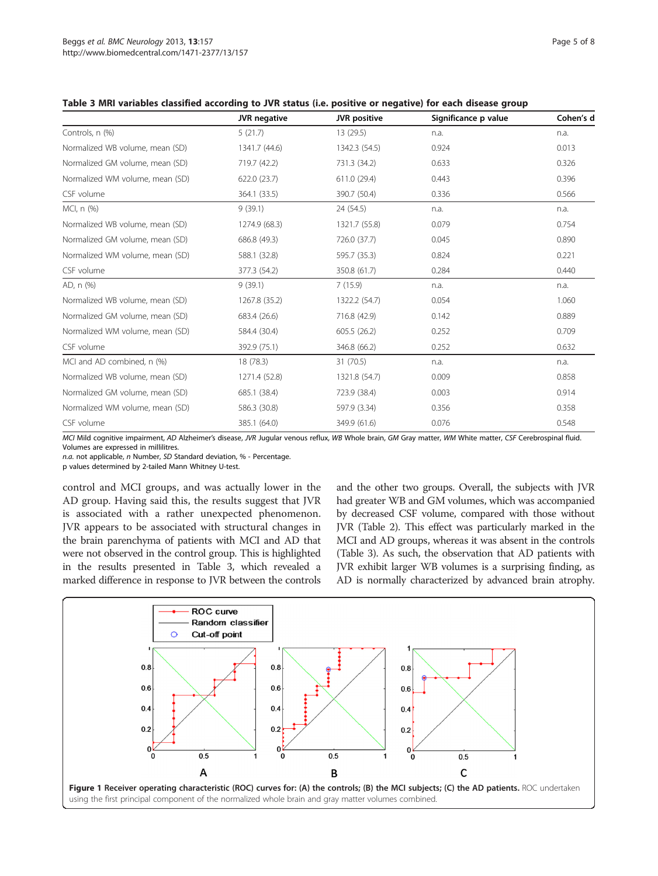|                                 | <b>JVR</b> negative | <b>JVR</b> positive | Significance p value | Cohen's d |
|---------------------------------|---------------------|---------------------|----------------------|-----------|
| Controls, n (%)                 | 5(21.7)             | 13 (29.5)           | n.a.                 | n.a.      |
| Normalized WB volume, mean (SD) | 1341.7 (44.6)       | 1342.3 (54.5)       | 0.924                | 0.013     |
| Normalized GM volume, mean (SD) | 719.7 (42.2)        | 731.3 (34.2)        | 0.633                | 0.326     |
| Normalized WM volume, mean (SD) | 622.0 (23.7)        | 611.0 (29.4)        | 0.443                | 0.396     |
| CSF volume                      | 364.1 (33.5)        | 390.7 (50.4)        | 0.336                | 0.566     |
| MCI, n (%)                      | 9(39.1)             | 24 (54.5)           | n.a.                 | n.a.      |
| Normalized WB volume, mean (SD) | 1274.9 (68.3)       | 1321.7 (55.8)       | 0.079                | 0.754     |
| Normalized GM volume, mean (SD) | 686.8 (49.3)        | 726.0 (37.7)        | 0.045                | 0.890     |
| Normalized WM volume, mean (SD) | 588.1 (32.8)        | 595.7 (35.3)        | 0.824                | 0.221     |
| CSF volume                      | 377.3 (54.2)        | 350.8 (61.7)        | 0.284                | 0.440     |
| AD, n (%)                       | 9(39.1)             | 7(15.9)             | n.a.                 | n.a.      |
| Normalized WB volume, mean (SD) | 1267.8 (35.2)       | 1322.2 (54.7)       | 0.054                | 1.060     |
| Normalized GM volume, mean (SD) | 683.4 (26.6)        | 716.8 (42.9)        | 0.142                | 0.889     |
| Normalized WM volume, mean (SD) | 584.4 (30.4)        | 605.5 (26.2)        | 0.252                | 0.709     |
| CSF volume                      | 392.9 (75.1)        | 346.8 (66.2)        | 0.252                | 0.632     |
| MCI and AD combined, n (%)      | 18 (78.3)           | 31 (70.5)           | n.a.                 | n.a.      |
| Normalized WB volume, mean (SD) | 1271.4 (52.8)       | 1321.8 (54.7)       | 0.009                | 0.858     |
| Normalized GM volume, mean (SD) | 685.1 (38.4)        | 723.9 (38.4)        | 0.003                | 0.914     |
| Normalized WM volume, mean (SD) | 586.3 (30.8)        | 597.9 (3.34)        | 0.356                | 0.358     |
| CSF volume                      | 385.1 (64.0)        | 349.9 (61.6)        | 0.076                | 0.548     |

<span id="page-5-0"></span>Table 3 MRI variables classified according to JVR status (i.e. positive or negative) for each disease group

MCI Mild cognitive impairment, AD Alzheimer's disease, JVR Jugular venous reflux, WB Whole brain, GM Gray matter, WM White matter, CSF Cerebrospinal fluid. Volumes are expressed in millilitres.

n.a. not applicable, n Number, SD Standard deviation, % - Percentage.

p values determined by 2-tailed Mann Whitney U-test.

control and MCI groups, and was actually lower in the AD group. Having said this, the results suggest that JVR is associated with a rather unexpected phenomenon. JVR appears to be associated with structural changes in the brain parenchyma of patients with MCI and AD that were not observed in the control group. This is highlighted in the results presented in Table 3, which revealed a marked difference in response to JVR between the controls

and the other two groups. Overall, the subjects with JVR had greater WB and GM volumes, which was accompanied by decreased CSF volume, compared with those without JVR (Table [2](#page-4-0)). This effect was particularly marked in the MCI and AD groups, whereas it was absent in the controls (Table 3). As such, the observation that AD patients with JVR exhibit larger WB volumes is a surprising finding, as AD is normally characterized by advanced brain atrophy.

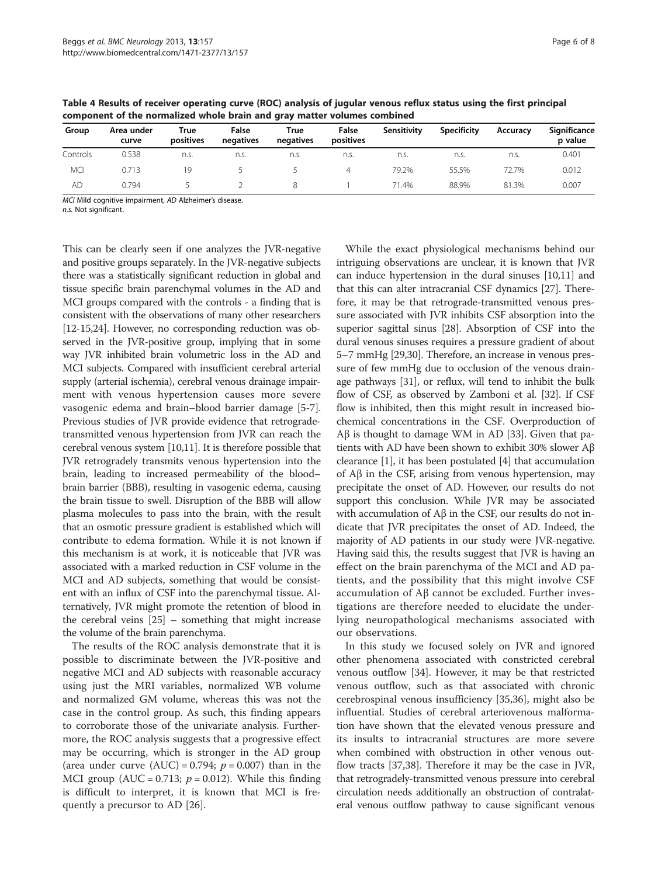| Group     | Area under<br>curve | True<br>positives | False<br>negatives | True<br>negatives | False<br>positives | Sensitivity | Specificity | Accuracy | Significance<br>p value |
|-----------|---------------------|-------------------|--------------------|-------------------|--------------------|-------------|-------------|----------|-------------------------|
| Controls  | 0.538               | n.s.              | n.s.               | n.s.              | n.s.               | n.s.        | n.s.        | n.s.     | 0.401                   |
| <b>MC</b> | 0.713               | 19                |                    |                   | 4                  | 79.2%       | 55.5%       | 72.7%    | 0.012                   |
| <b>AD</b> | 0.794               |                   |                    |                   |                    | 71.4%       | 88.9%       | 81.3%    | 0.007                   |

<span id="page-6-0"></span>Table 4 Results of receiver operating curve (ROC) analysis of jugular venous reflux status using the first principal component of the normalized whole brain and gray matter volumes combined

MCI Mild cognitive impairment, AD Alzheimer's disease.

n.s. Not significant.

This can be clearly seen if one analyzes the JVR-negative and positive groups separately. In the JVR-negative subjects there was a statistically significant reduction in global and tissue specific brain parenchymal volumes in the AD and MCI groups compared with the controls - a finding that is consistent with the observations of many other researchers [[12](#page-7-0)-[15](#page-7-0)[,24\]](#page-8-0). However, no corresponding reduction was observed in the JVR-positive group, implying that in some way JVR inhibited brain volumetric loss in the AD and MCI subjects. Compared with insufficient cerebral arterial supply (arterial ischemia), cerebral venous drainage impairment with venous hypertension causes more severe vasogenic edema and brain–blood barrier damage [\[5](#page-7-0)-[7](#page-7-0)]. Previous studies of JVR provide evidence that retrogradetransmitted venous hypertension from JVR can reach the cerebral venous system [[10,11](#page-7-0)]. It is therefore possible that JVR retrogradely transmits venous hypertension into the brain, leading to increased permeability of the blood– brain barrier (BBB), resulting in vasogenic edema, causing the brain tissue to swell. Disruption of the BBB will allow plasma molecules to pass into the brain, with the result that an osmotic pressure gradient is established which will contribute to edema formation. While it is not known if this mechanism is at work, it is noticeable that JVR was associated with a marked reduction in CSF volume in the MCI and AD subjects, something that would be consistent with an influx of CSF into the parenchymal tissue. Alternatively, JVR might promote the retention of blood in the cerebral veins [\[25\]](#page-8-0) – something that might increase the volume of the brain parenchyma.

The results of the ROC analysis demonstrate that it is possible to discriminate between the JVR-positive and negative MCI and AD subjects with reasonable accuracy using just the MRI variables, normalized WB volume and normalized GM volume, whereas this was not the case in the control group. As such, this finding appears to corroborate those of the univariate analysis. Furthermore, the ROC analysis suggests that a progressive effect may be occurring, which is stronger in the AD group (area under curve  $(AUC) = 0.794$ ;  $p = 0.007$ ) than in the MCI group (AUC = 0.713;  $p = 0.012$ ). While this finding is difficult to interpret, it is known that MCI is frequently a precursor to AD [\[26](#page-8-0)].

While the exact physiological mechanisms behind our intriguing observations are unclear, it is known that JVR can induce hypertension in the dural sinuses [[10,11\]](#page-7-0) and that this can alter intracranial CSF dynamics [\[27\]](#page-8-0). Therefore, it may be that retrograde-transmitted venous pressure associated with JVR inhibits CSF absorption into the superior sagittal sinus [\[28\]](#page-8-0). Absorption of CSF into the dural venous sinuses requires a pressure gradient of about 5–7 mmHg [[29,30](#page-8-0)]. Therefore, an increase in venous pressure of few mmHg due to occlusion of the venous drainage pathways [\[31\]](#page-8-0), or reflux, will tend to inhibit the bulk flow of CSF, as observed by Zamboni et al. [\[32\]](#page-8-0). If CSF flow is inhibited, then this might result in increased biochemical concentrations in the CSF. Overproduction of Aβ is thought to damage WM in AD [\[33\]](#page-8-0). Given that patients with AD have been shown to exhibit 30% slower Aβ clearance [\[1\]](#page-7-0), it has been postulated [[4\]](#page-7-0) that accumulation of Aβ in the CSF, arising from venous hypertension, may precipitate the onset of AD. However, our results do not support this conclusion. While JVR may be associated with accumulation of Aβ in the CSF, our results do not indicate that JVR precipitates the onset of AD. Indeed, the majority of AD patients in our study were JVR-negative. Having said this, the results suggest that JVR is having an effect on the brain parenchyma of the MCI and AD patients, and the possibility that this might involve CSF accumulation of Aβ cannot be excluded. Further investigations are therefore needed to elucidate the underlying neuropathological mechanisms associated with our observations.

In this study we focused solely on JVR and ignored other phenomena associated with constricted cerebral venous outflow [\[34](#page-8-0)]. However, it may be that restricted venous outflow, such as that associated with chronic cerebrospinal venous insufficiency [\[35,36\]](#page-8-0), might also be influential. Studies of cerebral arteriovenous malformation have shown that the elevated venous pressure and its insults to intracranial structures are more severe when combined with obstruction in other venous outflow tracts [[37,38\]](#page-8-0). Therefore it may be the case in JVR, that retrogradely-transmitted venous pressure into cerebral circulation needs additionally an obstruction of contralateral venous outflow pathway to cause significant venous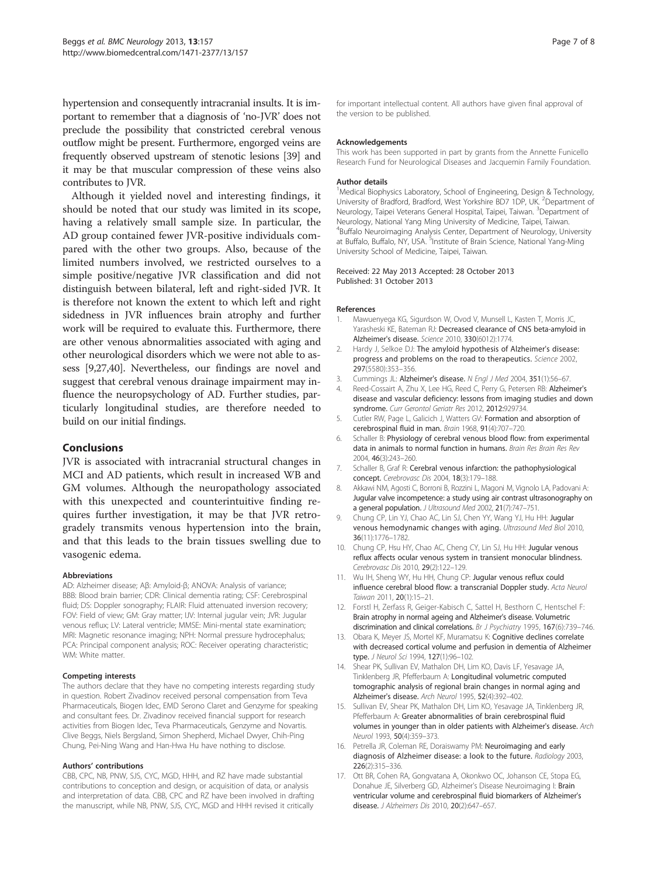<span id="page-7-0"></span>hypertension and consequently intracranial insults. It is important to remember that a diagnosis of 'no-JVR' does not preclude the possibility that constricted cerebral venous outflow might be present. Furthermore, engorged veins are frequently observed upstream of stenotic lesions [\[39](#page-8-0)] and it may be that muscular compression of these veins also contributes to JVR.

Although it yielded novel and interesting findings, it should be noted that our study was limited in its scope, having a relatively small sample size. In particular, the AD group contained fewer JVR-positive individuals compared with the other two groups. Also, because of the limited numbers involved, we restricted ourselves to a simple positive/negative JVR classification and did not distinguish between bilateral, left and right-sided JVR. It is therefore not known the extent to which left and right sidedness in JVR influences brain atrophy and further work will be required to evaluate this. Furthermore, there are other venous abnormalities associated with aging and other neurological disorders which we were not able to assess [9[,27,40](#page-8-0)]. Nevertheless, our findings are novel and suggest that cerebral venous drainage impairment may influence the neuropsychology of AD. Further studies, particularly longitudinal studies, are therefore needed to build on our initial findings.

# Conclusions

JVR is associated with intracranial structural changes in MCI and AD patients, which result in increased WB and GM volumes. Although the neuropathology associated with this unexpected and counterintuitive finding requires further investigation, it may be that JVR retrogradely transmits venous hypertension into the brain, and that this leads to the brain tissues swelling due to vasogenic edema.

#### Abbreviations

AD: Alzheimer disease; Aβ: Amyloid-β; ANOVA: Analysis of variance; BBB: Blood brain barrier; CDR: Clinical dementia rating; CSF: Cerebrospinal fluid; DS: Doppler sonography; FLAIR: Fluid attenuated inversion recovery: FOV: Field of view; GM: Gray matter; IJV: Internal jugular vein; JVR: Jugular venous reflux; LV: Lateral ventricle; MMSE: Mini-mental state examination; MRI: Magnetic resonance imaging; NPH: Normal pressure hydrocephalus; PCA: Principal component analysis; ROC: Receiver operating characteristic; WM: White matter.

#### Competing interests

The authors declare that they have no competing interests regarding study in question. Robert Zivadinov received personal compensation from Teva Pharmaceuticals, Biogen Idec, EMD Serono Claret and Genzyme for speaking and consultant fees. Dr. Zivadinov received financial support for research activities from Biogen Idec, Teva Pharmaceuticals, Genzyme and Novartis. Clive Beggs, Niels Bergsland, Simon Shepherd, Michael Dwyer, Chih-Ping Chung, Pei-Ning Wang and Han-Hwa Hu have nothing to disclose.

#### Authors' contributions

CBB, CPC, NB, PNW, SJS, CYC, MGD, HHH, and RZ have made substantial contributions to conception and design, or acquisition of data, or analysis and interpretation of data. CBB, CPC and RZ have been involved in drafting the manuscript, while NB, PNW, SJS, CYC, MGD and HHH revised it critically

for important intellectual content. All authors have given final approval of the version to be published.

#### Acknowledgements

This work has been supported in part by grants from the Annette Funicello Research Fund for Neurological Diseases and Jacquemin Family Foundation.

#### Author details

<sup>1</sup>Medical Biophysics Laboratory, School of Engineering, Design & Technology University of Bradford, Bradford, West Yorkshire BD7 1DP, UK. <sup>2</sup>Department of Neurology, Taipei Veterans General Hospital, Taipei, Taiwan. <sup>3</sup>Department of Neurology, National Yang Ming University of Medicine, Taipei, Taiwan. 4 Buffalo Neuroimaging Analysis Center, Department of Neurology, University at Buffalo, Buffalo, NY, USA. <sup>5</sup>Institute of Brain Science, National Yang-Ming University School of Medicine, Taipei, Taiwan.

#### Received: 22 May 2013 Accepted: 28 October 2013 Published: 31 October 2013

#### References

- 1. Mawuenyega KG, Sigurdson W, Ovod V, Munsell L, Kasten T, Morris JC, Yarasheski KE, Bateman RJ: Decreased clearance of CNS beta-amyloid in Alzheimer's disease. Science 2010, 330(6012):1774.
- 2. Hardy J, Selkoe DJ: The amyloid hypothesis of Alzheimer's disease: progress and problems on the road to therapeutics. Science 2002, 297(5580):353–356.
- 3. Cummings JL: Alzheimer's disease. N Engl J Med 2004, 351(1):56–67.
- 4. Reed-Cossairt A, Zhu X, Lee HG, Reed C, Perry G, Petersen RB: Alzheimer's disease and vascular deficiency: lessons from imaging studies and down syndrome. Curr Gerontol Geriatr Res 2012, 2012:929734.
- 5. Cutler RW, Page L, Galicich J, Watters GV: Formation and absorption of cerebrospinal fluid in man. Brain 1968, 91(4):707–720.
- 6. Schaller B: Physiology of cerebral venous blood flow: from experimental data in animals to normal function in humans. Brain Res Brain Res Rev 2004, 46(3):243–260.
- 7. Schaller B, Graf R: Cerebral venous infarction: the pathophysiological concept. Cerebrovasc Dis 2004, 18(3):179–188.
- 8. Akkawi NM, Agosti C, Borroni B, Rozzini L, Magoni M, Vignolo LA, Padovani A: Jugular valve incompetence: a study using air contrast ultrasonography on a general population. J Ultrasound Med 2002, 21(7):747–751.
- 9. Chung CP, Lin YJ, Chao AC, Lin SJ, Chen YY, Wang YJ, Hu HH: Jugular venous hemodynamic changes with aging. Ultrasound Med Biol 2010, 36(11):1776–1782.
- 10. Chung CP, Hsu HY, Chao AC, Cheng CY, Lin SJ, Hu HH: Jugular venous reflux affects ocular venous system in transient monocular blindness. Cerebrovasc Dis 2010, 29(2):122–129.
- 11. Wu IH, Sheng WY, Hu HH, Chung CP: Jugular venous reflux could influence cerebral blood flow: a transcranial Doppler study. Acta Neurol Taiwan 2011, 20(1):15–21.
- 12. Forstl H, Zerfass R, Geiger-Kabisch C, Sattel H, Besthorn C, Hentschel F: Brain atrophy in normal ageing and Alzheimer's disease. Volumetric discrimination and clinical correlations. Br J Psychiatry 1995, 167(6):739-746.
- 13. Obara K, Meyer JS, Mortel KF, Muramatsu K: Cognitive declines correlate with decreased cortical volume and perfusion in dementia of Alzheimer type. J Neurol Sci 1994, 127(1):96–102.
- 14. Shear PK, Sullivan EV, Mathalon DH, Lim KO, Davis LF, Yesavage JA, Tinklenberg JR, Pfefferbaum A: Longitudinal volumetric computed tomographic analysis of regional brain changes in normal aging and Alzheimer's disease. Arch Neurol 1995, 52(4):392–402.
- 15. Sullivan EV, Shear PK, Mathalon DH, Lim KO, Yesavage JA, Tinklenberg JR, Pfefferbaum A: Greater abnormalities of brain cerebrospinal fluid volumes in younger than in older patients with Alzheimer's disease. Arch Neurol 1993, 50(4):359–373.
- 16. Petrella JR, Coleman RE, Doraiswamy PM: Neuroimaging and early diagnosis of Alzheimer disease: a look to the future. Radiology 2003, 226(2):315–336.
- 17. Ott BR, Cohen RA, Gongvatana A, Okonkwo OC, Johanson CE, Stopa EG, Donahue JE, Silverberg GD, Alzheimer's Disease Neuroimaging I: Brain ventricular volume and cerebrospinal fluid biomarkers of Alzheimer's disease. J Alzheimers Dis 2010, 20(2):647–657.